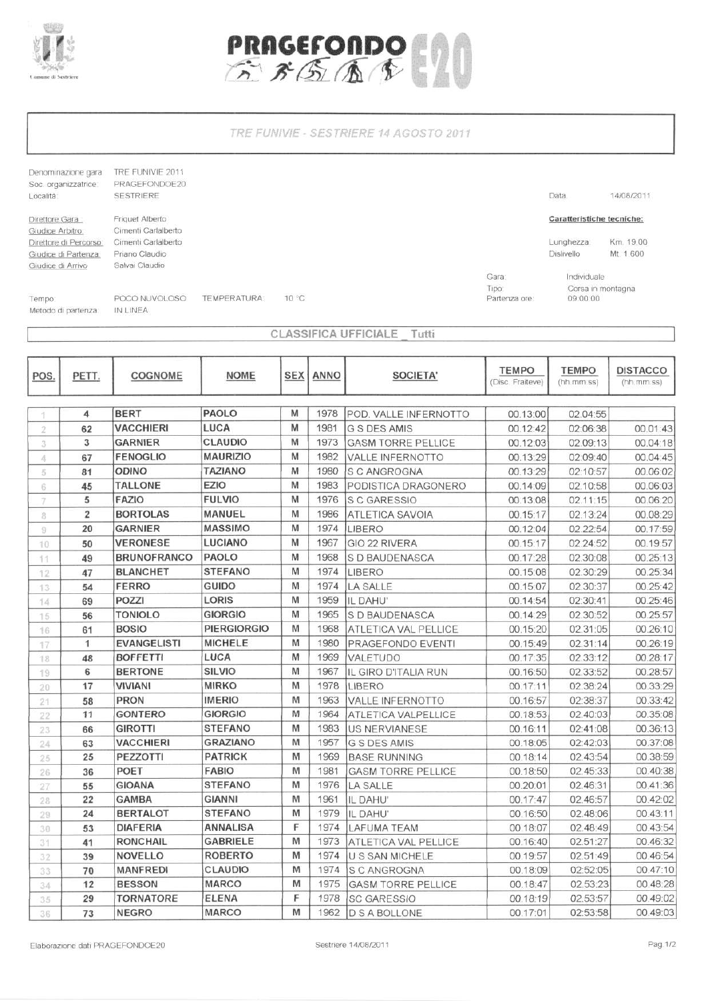



TRE FUNIVIE - SESTRIERE 14 AGOSTO 2011

Denominazione gara TRE FUNIVIE 2011 Soc. organizzatrice: PRAGEFONDOE20 SESTRIERE Località: Direttore Gara Giudice Arbitro:

Friquet Alberto<br>Cimenti Carlalberto Direttore di Percorso Cimenti Carlalberto Giudice di Partenza. Priano Claudio Salvai Claudio Giudice di Arrivo

14/08/2011

## Caratteristiche tecniche:

Data

Km. 19,00 Lunghezza: Distivello Mt. 1.600

Gara: Tipo: Partenza ore: Individuale Corsa in montagna 09:00:00

Tempo:

POCO NUVOLOSO **TEMPERATURA:** Metodo di partenza IN LINEA

CLASSIFICA UFFICIALE Tutti

10 °C

| POS.     | PETT.          | <b>COGNOME</b>     | <b>NOME</b>        | <b>SEX</b> | <b>ANNO</b> | SOCIETA'                  | <b>TEMPO</b><br>(Disc. Fraiteve) | <b>TEMPO</b><br>(hh.mm.ss) | <b>DISTACCO</b><br>(hh.mm.ss) |
|----------|----------------|--------------------|--------------------|------------|-------------|---------------------------|----------------------------------|----------------------------|-------------------------------|
|          | 4              | <b>BERT</b>        | <b>PAOLO</b>       | M          | 1978        | POD. VALLE INFERNOTTO     | 00.13:00                         | 02.04:55                   |                               |
| 2        | 62             | <b>VACCHIERI</b>   | LUCA               | M          | 1981        | G S DES AMIS              | 00.12:42                         | 02:06:38                   | 00.01:43                      |
| 3        | 3              | <b>GARNIER</b>     | <b>CLAUDIO</b>     | М          | 1973        | <b>GASM TORRE PELLICE</b> | 00.12:03                         | 02.09:13                   | 00.04:18                      |
| A,       | 67             | <b>FENOGLIO</b>    | MAURIZIO           | M          | 1982        | <b>VALLE INFERNOTTO</b>   | 00.13:29                         | 02:09:40                   | 00.04:45                      |
| 5        | 81             | <b>ODINO</b>       | <b>TAZIANO</b>     | M          | 1980        | S C ANGROGNA              | 00.13:29                         | 02:10:57                   | 00.06:02                      |
| 6.       | 45             | <b>TALLONE</b>     | EZIO               | M          | 1983        | PODISTICA DRAGONERO       | 00.14:09                         | 02.10:58                   | 00.06:03                      |
| 7.       | 5              | <b>FAZIO</b>       | <b>FULVIO</b>      | M          | 1976        | <b>S C GARESSIO</b>       | 00.13:08                         | 02.11:15                   | 00.06:20                      |
| 8        | $\overline{2}$ | <b>BORTOLAS</b>    | MANUEL             | M          | 1986        | <b>ATLETICA SAVOIA</b>    | 00.15:17                         | 02.13:24                   | 00.08:29                      |
| $\theta$ | 20             | <b>GARNIER</b>     | <b>MASSIMO</b>     | M          | 1974        | LIBERO                    | 00.12:04                         | 02.22:54                   | 00.17:59                      |
| 10       | 50             | <b>VERONESE</b>    | <b>LUCIANO</b>     | M          | 1967        | GIO 22 RIVERA             | 00.15:17                         | 02.24:52                   | 00.19:57                      |
| 11       | 49             | <b>BRUNOFRANCO</b> | <b>PAOLO</b>       | M          | 1968        | S D BAUDENASCA            | 00.17:28                         | 02.30:08                   | 00.25:13                      |
| 12       | 47             | <b>BLANCHET</b>    | <b>STEFANO</b>     | M          | 1974        | LIBERO                    | 00.15:08                         | 02.30:29                   | 00.25:34                      |
| 13       | 54             | <b>FERRO</b>       | GUIDO              | M          | 1974        | <b>LA SALLE</b>           | 00.15:07                         | 02.30:37                   | 00.25:42                      |
| 14       | 69             | POZZI              | <b>LORIS</b>       | M          | 1959        | IL DAHU'                  | 00.14:54                         | 02:30:41                   | 00.25:46                      |
| 15       | 56             | <b>TONIOLO</b>     | <b>GIORGIO</b>     | M          | 1965        | S D BAUDENASCA            | 00.14:29                         | 02.30:52                   | 00.25:57                      |
| 16       | 61             | <b>BOSIO</b>       | <b>PIERGIORGIO</b> | M          | 1968        | ATLETICA VAL PELLICE      | 00.15:20                         | 02.31:05                   | 00.26:10                      |
| 17       | 1              | <b>EVANGELISTI</b> | <b>MICHELE</b>     | M          | 1980        | PRAGEFONDO EVENTI         | 00.15:49                         | 02.31:14                   | 00.26:19                      |
| 18       | 48             | <b>BOFFETTI</b>    | LUCA               | M          | 1969        | VALETUDO                  | 00.17:35                         | 02.33:12                   | 00.28:17                      |
| 19       | 6              | <b>BERTONE</b>     | <b>SILVIO</b>      | M          | 1967        | IL GIRO D'ITALIA RUN      | 00.16:50                         | 02.33:52                   | 00.28:57                      |
| 20       | 17             | <b>VIVIANI</b>     | <b>MIRKO</b>       | M          | 1978        | LIBERO                    | 00.17:11                         | 02.38:24                   | 00.33:29                      |
| 21       | 58             | <b>PRON</b>        | <b>IMERIO</b>      | M          | 1963        | <b>VALLE INFERNOTTO</b>   | 00.16:57                         | 02:38:37                   | 00.33:42                      |
| 22       | 11             | <b>GONTERO</b>     | <b>GIORGIO</b>     | M          | 1964        | ATLETICA VALPELLICE       | 00.18:53                         | 02.40:03                   | 00.35:08                      |
| 23       | 66             | <b>GIROTTI</b>     | <b>STEFANO</b>     | M          | 1983        | <b>US NERVIANESE</b>      | 00.16:11                         | 02:41:08                   | 00.36:13                      |
| 24       | 63             | <b>VACCHIERI</b>   | <b>GRAZIANO</b>    | M          | 1957        | <b>G S DES AMIS</b>       | 00.18:05                         | 02:42:03                   | 00.37:08                      |
| 25       | 25             | <b>PEZZOTTI</b>    | <b>PATRICK</b>     | M          | 1969        | <b>BASE RUNNING</b>       | 00.18:14                         | 02.43:54                   | 00.38:59                      |
| 26       | 36             | POET               | <b>FABIO</b>       | M          | 1981        | <b>GASM TORRE PELLICE</b> | 00.18:50                         | 02.45:33                   | 00.40:38                      |
| 27       | 55             | <b>GIOANA</b>      | <b>STEFANO</b>     | M          | 1976        | LA SALLE                  | 00.20:01                         | 02.46:31                   | 00.41:36                      |
| 28       | 22             | GAMBA              | <b>GIANNI</b>      | M          | 1961        | IL DAHU'                  | 00.17:47                         | 02.46:57                   | 00.42:02                      |
| 29       | 24             | <b>BERTALOT</b>    | <b>STEFANO</b>     | M          | 1979        | IL DAHU'                  | 00.16:50                         | 02.48:06                   | 00.43:11                      |
| 30       | 53             | <b>DIAFERIA</b>    | <b>ANNALISA</b>    | F          | 1974        | <b>LAFUMA TEAM</b>        | 00.18:07                         | 02.48:49                   | 00.43:54                      |
| 31       | 41             | <b>RONCHAIL</b>    | <b>GABRIELE</b>    | M          | 1973        | ATLETICA VAL PELLICE      | 00.16:40                         | 02.51:27                   | 00.46:32                      |
| 32       | 39             | <b>NOVELLO</b>     | <b>ROBERTO</b>     | M          | 1974        | <b>U S SAN MICHELE</b>    | 00.19:57                         | 02.51:49                   | 00.46:54                      |
| 33       | 70             | <b>MANFREDI</b>    | <b>CLAUDIO</b>     | M          | 1974        | S C ANGROGNA              | 00.18:09                         | 02:52:05                   | 00.47:10                      |
| 34       | 12             | <b>BESSON</b>      | <b>MARCO</b>       | M          | 1975        | <b>GASM TORRE PELLICE</b> | 00.18:47                         | 02.53:23                   | 00.48:28                      |
| 35       | 29             | <b>TORNATORE</b>   | ELENA              | F          | 1978        | <b>SC GARESSIO</b>        | 00.18:19                         | 02.53:57                   | 00.49:02                      |
| 36       | 73             | <b>NEGRO</b>       | <b>MARCO</b>       | M          | 1962        | <b>D S A BOLLONE</b>      | 00.17:01                         | 02:53:58                   | 00.49:03                      |